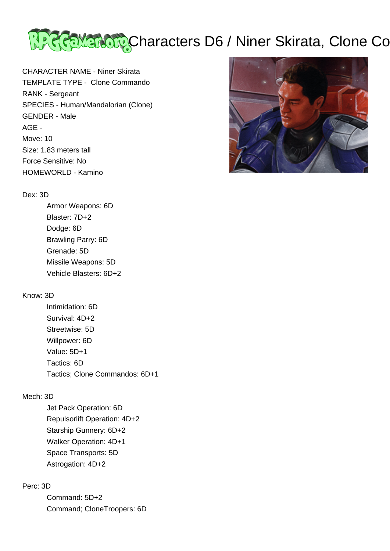

CHARACTER NAME - Niner Skirata TEMPLATE TYPE - Clone Commando RANK - Sergeant SPECIES - Human/Mandalorian (Clone) GENDER - Male AGE - Move: 10 Size: 1.83 meters tall Force Sensitive: No HOMEWORLD - Kamino

#### Dex: 3D

 Armor Weapons: 6D Blaster: 7D+2 Dodge: 6D Brawling Parry: 6D Grenade: 5D Missile Weapons: 5D Vehicle Blasters: 6D+2

# Know: 3D

 Intimidation: 6D Survival: 4D+2 Streetwise: 5D Willpower: 6D Value: 5D+1 Tactics: 6D Tactics; Clone Commandos: 6D+1

### Mech: 3D

 Jet Pack Operation: 6D Repulsorlift Operation: 4D+2 Starship Gunnery: 6D+2 Walker Operation: 4D+1 Space Transports: 5D Astrogation: 4D+2

# Perc: 3D

 Command: 5D+2 Command; CloneTroopers: 6D

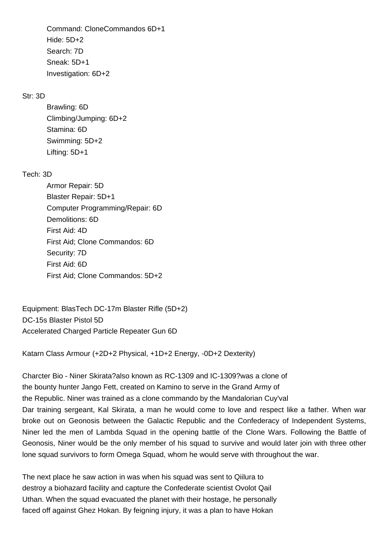Command: CloneCommandos 6D+1 Hide: 5D+2 Search: 7D Sneak: 5D+1 Investigation: 6D+2

## Str: 3D

 Brawling: 6D Climbing/Jumping: 6D+2 Stamina: 6D Swimming: 5D+2 Lifting: 5D+1

# Tech: 3D

 Armor Repair: 5D Blaster Repair: 5D+1 Computer Programming/Repair: 6D Demolitions: 6D First Aid: 4D First Aid; Clone Commandos: 6D Security: 7D First Aid: 6D First Aid; Clone Commandos: 5D+2

Equipment: BlasTech DC-17m Blaster Rifle (5D+2) DC-15s Blaster Pistol 5D Accelerated Charged Particle Repeater Gun 6D

Katarn Class Armour (+2D+2 Physical, +1D+2 Energy, -0D+2 Dexterity)

Charcter Bio - Niner Skirata?also known as RC-1309 and IC-1309?was a clone of the bounty hunter Jango Fett, created on Kamino to serve in the Grand Army of the Republic. Niner was trained as a clone commando by the Mandalorian Cuy'val Dar training sergeant, Kal Skirata, a man he would come to love and respect like a father. When war broke out on Geonosis between the Galactic Republic and the Confederacy of Independent Systems, Niner led the men of Lambda Squad in the opening battle of the Clone Wars. Following the Battle of Geonosis, Niner would be the only member of his squad to survive and would later join with three other lone squad survivors to form Omega Squad, whom he would serve with throughout the war.

The next place he saw action in was when his squad was sent to Qiilura to destroy a biohazard facility and capture the Confederate scientist Ovolot Qail Uthan. When the squad evacuated the planet with their hostage, he personally faced off against Ghez Hokan. By feigning injury, it was a plan to have Hokan